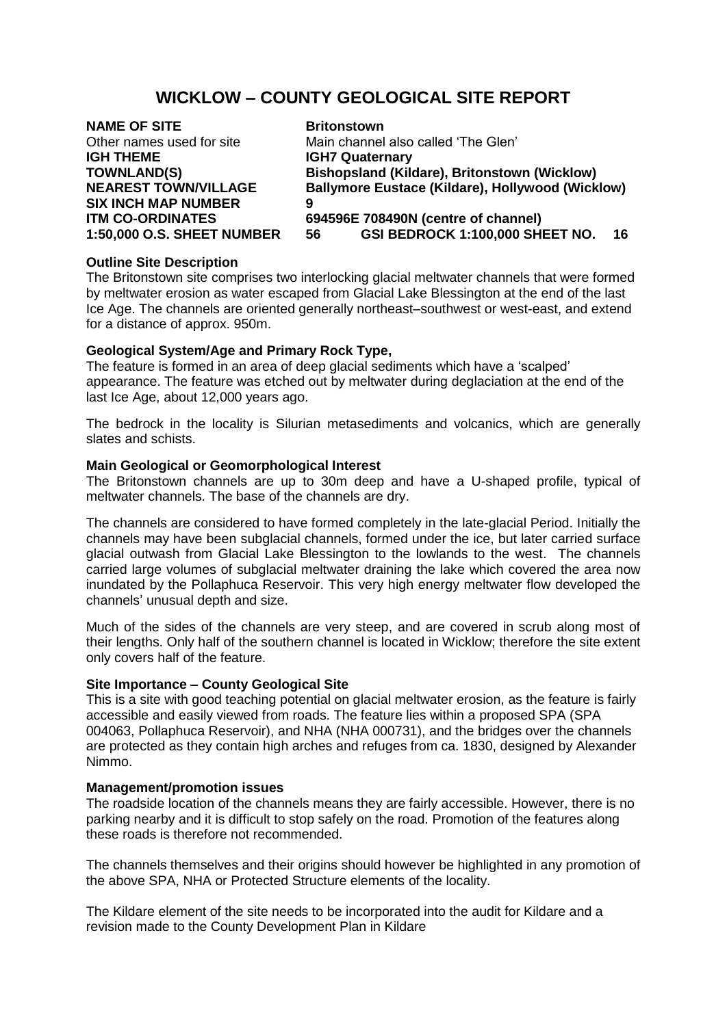# **WICKLOW – COUNTY GEOLOGICAL SITE REPORT**

| <b>NAME OF SITE</b>               | <b>Britonstown</b>                               |
|-----------------------------------|--------------------------------------------------|
| Other names used for site         | Main channel also called 'The Glen'              |
| <b>IGH THEME</b>                  | <b>IGH7 Quaternary</b>                           |
| <b>TOWNLAND(S)</b>                | Bishopsland (Kildare), Britonstown (Wicklow)     |
| <b>NEAREST TOWN/VILLAGE</b>       | Ballymore Eustace (Kildare), Hollywood (Wicklow) |
| <b>SIX INCH MAP NUMBER</b>        | 9                                                |
| <b>ITM CO-ORDINATES</b>           | 694596E 708490N (centre of channel)              |
| <b>1:50,000 O.S. SHEET NUMBER</b> | GSI BEDROCK 1:100,000 SHEET NO.<br>16<br>56      |
|                                   |                                                  |

### **Outline Site Description**

The Britonstown site comprises two interlocking glacial meltwater channels that were formed by meltwater erosion as water escaped from Glacial Lake Blessington at the end of the last Ice Age. The channels are oriented generally northeast–southwest or west-east, and extend for a distance of approx. 950m.

## **Geological System/Age and Primary Rock Type,**

The feature is formed in an area of deep glacial sediments which have a 'scalped' appearance. The feature was etched out by meltwater during deglaciation at the end of the last Ice Age, about 12,000 years ago.

The bedrock in the locality is Silurian metasediments and volcanics, which are generally slates and schists.

#### **Main Geological or Geomorphological Interest**

The Britonstown channels are up to 30m deep and have a U-shaped profile, typical of meltwater channels. The base of the channels are dry.

The channels are considered to have formed completely in the late-glacial Period. Initially the channels may have been subglacial channels, formed under the ice, but later carried surface glacial outwash from Glacial Lake Blessington to the lowlands to the west. The channels carried large volumes of subglacial meltwater draining the lake which covered the area now inundated by the Pollaphuca Reservoir. This very high energy meltwater flow developed the channels' unusual depth and size.

Much of the sides of the channels are very steep, and are covered in scrub along most of their lengths. Only half of the southern channel is located in Wicklow; therefore the site extent only covers half of the feature.

#### **Site Importance – County Geological Site**

This is a site with good teaching potential on glacial meltwater erosion, as the feature is fairly accessible and easily viewed from roads. The feature lies within a proposed SPA (SPA 004063, Pollaphuca Reservoir), and NHA (NHA 000731), and the bridges over the channels are protected as they contain high arches and refuges from ca. 1830, designed by Alexander Nimmo.

#### **Management/promotion issues**

The roadside location of the channels means they are fairly accessible. However, there is no parking nearby and it is difficult to stop safely on the road. Promotion of the features along these roads is therefore not recommended.

The channels themselves and their origins should however be highlighted in any promotion of the above SPA, NHA or Protected Structure elements of the locality.

The Kildare element of the site needs to be incorporated into the audit for Kildare and a revision made to the County Development Plan in Kildare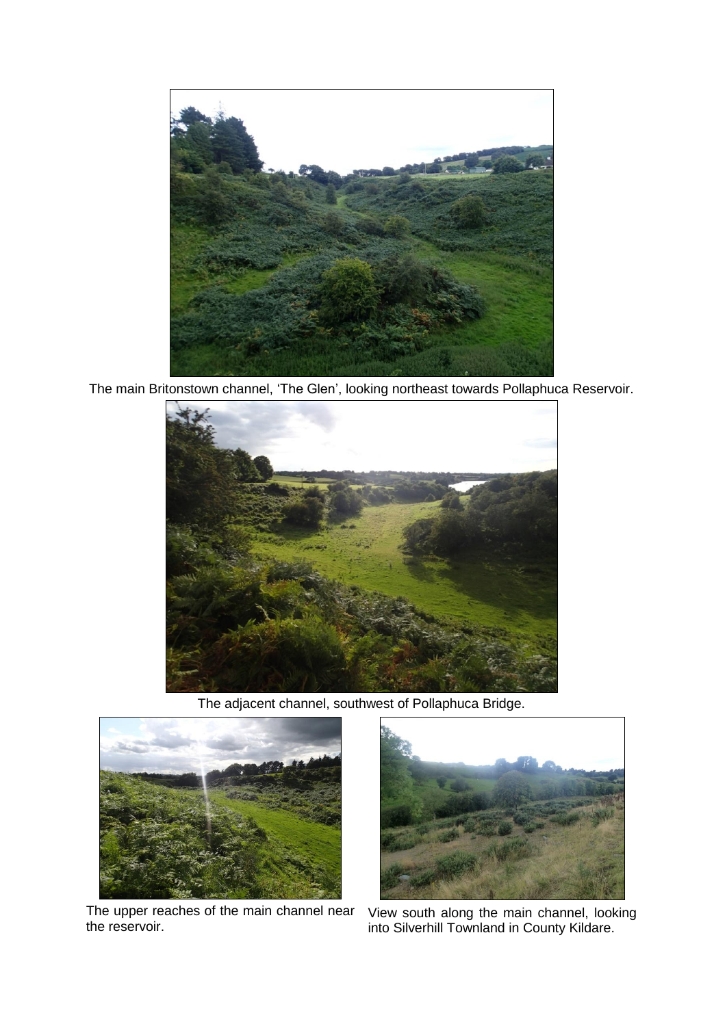

The main Britonstown channel, 'The Glen', looking northeast towards Pollaphuca Reservoir.



The adjacent channel, southwest of Pollaphuca Bridge.



The upper reaches of the main channel near the reservoir.



View south along the main channel, looking into Silverhill Townland in County Kildare.